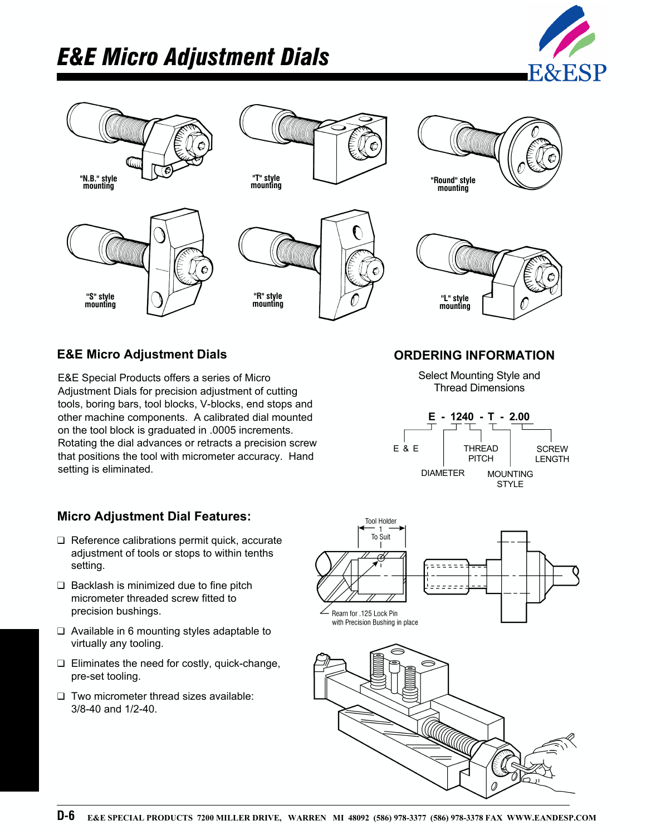## *E&E Micro Adjustment Dials*





### **E&E Micro Adjustment Dials ORDERING INFORMATION**

E&E Special Products offers a series of Micro Adjustment Dials for precision adjustment of cutting tools, boring bars, tool blocks, V-blocks, end stops and other machine components. A calibrated dial mounted on the tool block is graduated in .0005 increments. Rotating the dial advances or retracts a precision screw that positions the tool with micrometer accuracy. Hand setting is eliminated.

### **Micro Adjustment Dial Features:**

- ❑ Reference calibrations permit quick, accurate adjustment of tools or stops to within tenths setting.
- ❑ Backlash is minimized due to fine pitch micrometer threaded screw fitted to precision bushings.
- ❑ Available in 6 mounting styles adaptable to virtually any tooling.
- ❑ Eliminates the need for costly, quick-change, pre-set tooling.
- ❑ Two micrometer thread sizes available: 3/8-40 and 1/2-40.

# **Tool Holder** To Suit  $\overline{a}$ Ream for .125 Lock Pin with Precision Bushing in place

Select Mounting Style and Thread Dimensions

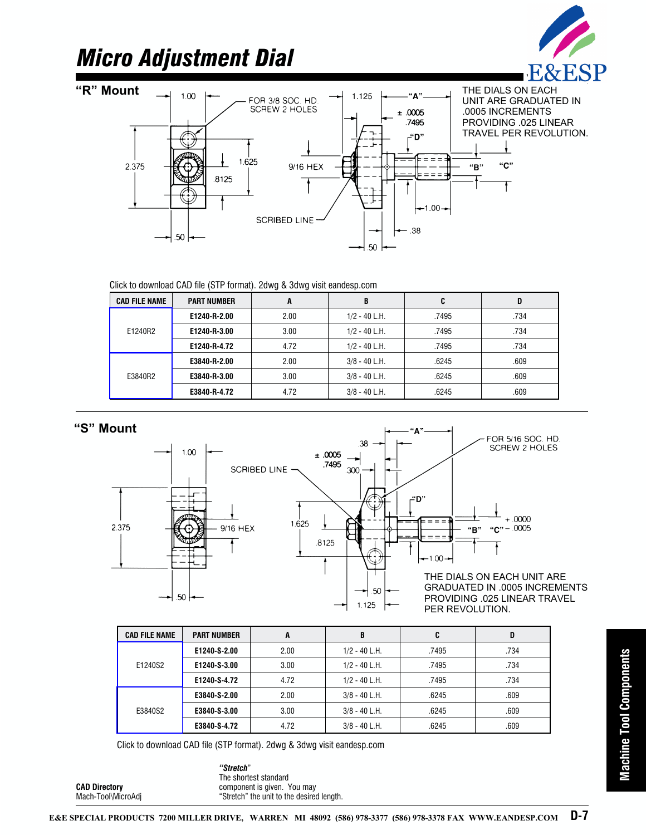## *Micro Adjustment Dial*







| <b>CAD FILE NAME</b> | <b>PART NUMBER</b> | A    | B               | C     | D    |
|----------------------|--------------------|------|-----------------|-------|------|
| E1240R2              | E1240-R-2.00       | 2.00 | $1/2 - 40$ L.H. | .7495 | .734 |
|                      | E1240-R-3.00       | 3.00 | $1/2 - 40$ L.H. | .7495 | .734 |
|                      | E1240-R-4.72       | 4.72 | $1/2 - 40$ L.H. | .7495 | .734 |
| E3840R2              | E3840-R-2.00       | 2.00 | $3/8 - 40$ L.H. | .6245 | .609 |
|                      | E3840-R-3.00       | 3.00 | $3/8 - 40$ L.H. | .6245 | .609 |
|                      | E3840-R-4.72       | 4.72 | $3/8 - 40$ L.H. | .6245 | .609 |

**"S" Mount**

**CAD Directory** Mach-Tool\MicroAdj



| <b>CAD FILE NAME</b> | <b>PART NUMBER</b> | A    | B               | C     | D    |
|----------------------|--------------------|------|-----------------|-------|------|
| E1240S2              | E1240-S-2.00       | 2.00 | $1/2 - 40$ L.H. | .7495 | .734 |
|                      | E1240-S-3.00       | 3.00 | $1/2 - 40$ L.H. | .7495 | .734 |
|                      | E1240-S-4.72       | 4.72 | $1/2 - 40$ L.H. | .7495 | .734 |
| E3840S2              | E3840-S-2.00       | 2.00 | $3/8 - 40$ L.H. | .6245 | .609 |
|                      | E3840-S-3.00       | 3.00 | $3/8 - 40$ L.H. | .6245 | .609 |
|                      | E3840-S-4.72       | 4.72 | $3/8 - 40$ L.H. | .6245 | .609 |

*"Stretch*" The shortest standard component is given. You may "Stretch" the unit to the desired length.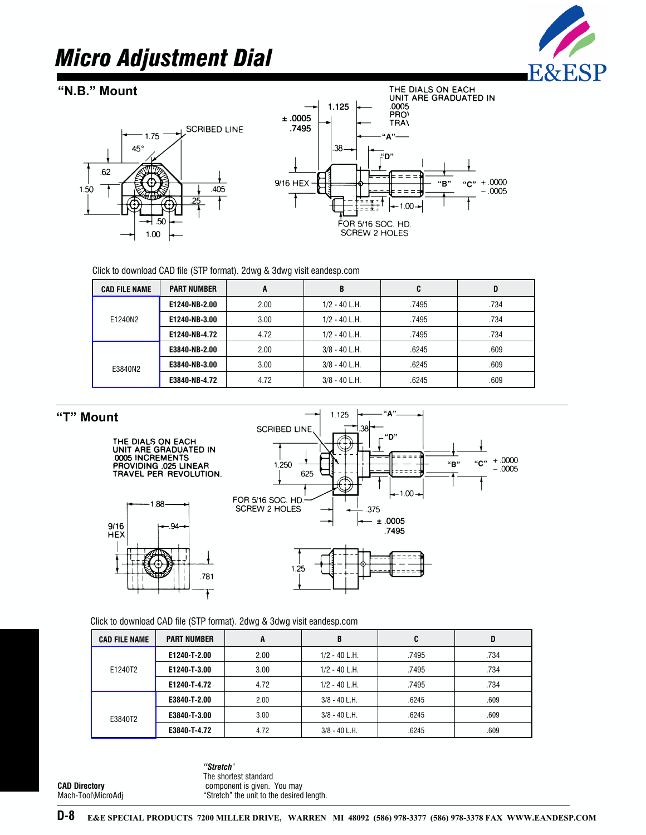### *Micro Adjustment Dial*



### **"N.B." Mount**





| <b>CAD FILE NAME</b>                                                                                                                             | <b>PART NUMBER</b> | A                                                  | B               | C                                   | D                           |
|--------------------------------------------------------------------------------------------------------------------------------------------------|--------------------|----------------------------------------------------|-----------------|-------------------------------------|-----------------------------|
|                                                                                                                                                  | E1240-NB-2.00      | 2.00                                               | $1/2 - 40$ L.H. | .7495                               | .734                        |
| E1240N2                                                                                                                                          | E1240-NB-3.00      | 3.00                                               | $1/2 - 40$ L.H. | .7495                               | .734                        |
|                                                                                                                                                  | E1240-NB-4.72      | 4.72                                               | $1/2 - 40$ L.H. | .7495                               | .734                        |
|                                                                                                                                                  | E3840-NB-2.00      | 2.00                                               | $3/8 - 40$ L.H. | .6245                               | .609                        |
| E3840N2                                                                                                                                          | E3840-NB-3.00      | 3.00                                               | $3/8 - 40$ L.H. | .6245                               | .609                        |
|                                                                                                                                                  | E3840-NB-4.72      | 4.72                                               | $3/8 - 40$ L.H. | .6245                               | .609                        |
| UNIT ARE GRADUATED IN<br><b>.0005 INCREMENTS</b><br>PROVIDING .025 LINEAR<br>TRAVEL PER REVOLUTION.<br>$1.88 -$<br>9/16<br>$.94 -$<br><b>HEX</b> |                    | 1.250<br>FOR 5/16 SOC. HD.<br><b>SCREW 2 HOLES</b> | .625<br>.375    | "B"<br>$-1.00 +$<br>±.0005<br>.7495 | $+.0000$<br>"C"<br>$-.0005$ |
|                                                                                                                                                  |                    |                                                    |                 |                                     |                             |

### **"T" Mount**





| <b>CAD FILE NAME</b> | <b>PART NUMBER</b> | A    | B               | C     | D    |
|----------------------|--------------------|------|-----------------|-------|------|
| E1240T2              | E1240-T-2.00       | 2.00 | $1/2 - 40$ L.H. | .7495 | .734 |
|                      | E1240-T-3.00       | 3.00 | $1/2 - 40$ L.H. | .7495 | .734 |
|                      | E1240-T-4.72       | 4.72 | $1/2 - 40$ L.H. | .7495 | .734 |
|                      | E3840-T-2.00       | 2.00 | $3/8 - 40$ L.H. | .6245 | .609 |
| E3840T2              | E3840-T-3.00       | 3.00 | $3/8 - 40$ L.H. | .6245 | .609 |
|                      | E3840-T-4.72       | 4.72 | $3/8 - 40$ L.H. | .6245 | .609 |

**CAD Directory** Mach-Tool\MicroAdj

*"Stretch*" The shortest standard component is given. You may "Stretch" the unit to the desired length.